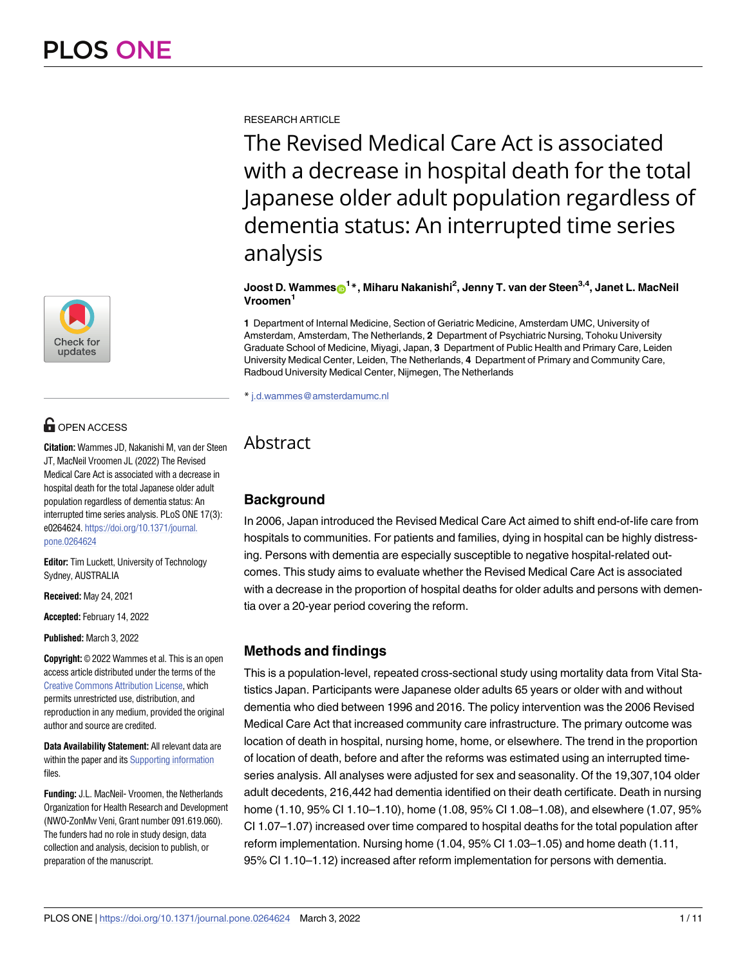

# **OPEN ACCESS**

**Citation:** Wammes JD, Nakanishi M, van der Steen JT, MacNeil Vroomen JL (2022) The Revised Medical Care Act is associated with a decrease in hospital death for the total Japanese older adult population regardless of dementia status: An interrupted time series analysis. PLoS ONE 17(3): e0264624. [https://doi.org/10.1371/journal.](https://doi.org/10.1371/journal.pone.0264624) [pone.0264624](https://doi.org/10.1371/journal.pone.0264624)

**Editor:** Tim Luckett, University of Technology Sydney, AUSTRALIA

**Received:** May 24, 2021

**Accepted:** February 14, 2022

**Published:** March 3, 2022

**Copyright:** © 2022 Wammes et al. This is an open access article distributed under the terms of the Creative Commons [Attribution](http://creativecommons.org/licenses/by/4.0/) License, which permits unrestricted use, distribution, and reproduction in any medium, provided the original author and source are credited.

**Data Availability Statement:** All relevant data are within the paper and its Supporting [information](#page-8-0) files.

**Funding:** J.L. MacNeil- Vroomen, the Netherlands Organization for Health Research and Development (NWO-ZonMw Veni, Grant number 091.619.060). The funders had no role in study design, data collection and analysis, decision to publish, or preparation of the manuscript.

RESEARCH ARTICLE

The Revised Medical Care Act is associated with a decrease in hospital death for the total Japanese older adult population regardless of dementia status: An interrupted time series analysis

 $\boldsymbol{\mathsf{J} \text{oost}}$   $\boldsymbol{\mathsf{D}}$ . Wammes $\boldsymbol{\mathsf{D}}^{1*}$ , Miharu Nakanishi $^2$ , Jenny T. van der Steen $^{3,4}$ , Janet L. MacNeil **Vroomen1**

**1** Department of Internal Medicine, Section of Geriatric Medicine, Amsterdam UMC, University of Amsterdam, Amsterdam, The Netherlands, **2** Department of Psychiatric Nursing, Tohoku University Graduate School of Medicine, Miyagi, Japan, **3** Department of Public Health and Primary Care, Leiden University Medical Center, Leiden, The Netherlands, **4** Department of Primary and Community Care, Radboud University Medical Center, Nijmegen, The Netherlands

\* j.d.wammes@amsterdamumc.nl

## Abstract

## **Background**

In 2006, Japan introduced the Revised Medical Care Act aimed to shift end-of-life care from hospitals to communities. For patients and families, dying in hospital can be highly distressing. Persons with dementia are especially susceptible to negative hospital-related outcomes. This study aims to evaluate whether the Revised Medical Care Act is associated with a decrease in the proportion of hospital deaths for older adults and persons with dementia over a 20-year period covering the reform.

## **Methods and findings**

This is a population-level, repeated cross-sectional study using mortality data from Vital Statistics Japan. Participants were Japanese older adults 65 years or older with and without dementia who died between 1996 and 2016. The policy intervention was the 2006 Revised Medical Care Act that increased community care infrastructure. The primary outcome was location of death in hospital, nursing home, home, or elsewhere. The trend in the proportion of location of death, before and after the reforms was estimated using an interrupted timeseries analysis. All analyses were adjusted for sex and seasonality. Of the 19,307,104 older adult decedents, 216,442 had dementia identified on their death certificate. Death in nursing home (1.10, 95% CI 1.10–1.10), home (1.08, 95% CI 1.08–1.08), and elsewhere (1.07, 95% CI 1.07–1.07) increased over time compared to hospital deaths for the total population after reform implementation. Nursing home (1.04, 95% CI 1.03–1.05) and home death (1.11, 95% CI 1.10–1.12) increased after reform implementation for persons with dementia.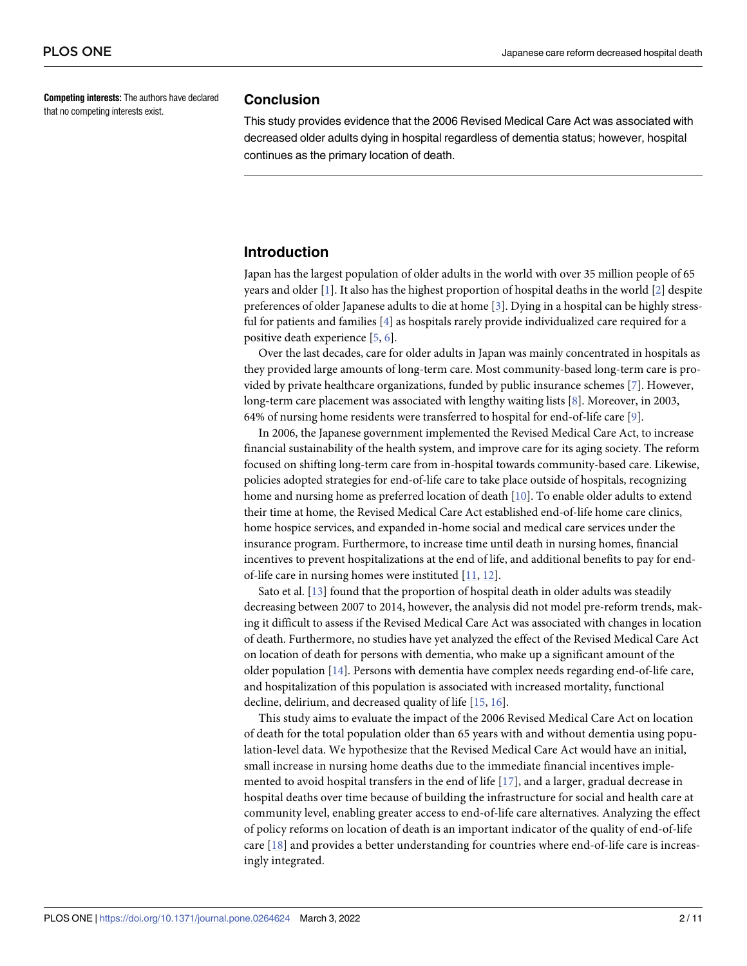<span id="page-1-0"></span>**Competing interests:** The authors have declared that no competing interests exist.

#### **Conclusion**

This study provides evidence that the 2006 Revised Medical Care Act was associated with decreased older adults dying in hospital regardless of dementia status; however, hospital continues as the primary location of death.

## **Introduction**

Japan has the largest population of older adults in the world with over 35 million people of 65 years and older [\[1\]](#page-8-0). It also has the highest proportion of hospital deaths in the world [[2](#page-8-0)] despite preferences of older Japanese adults to die at home [\[3\]](#page-9-0). Dying in a hospital can be highly stressful for patients and families [\[4](#page-9-0)] as hospitals rarely provide individualized care required for a positive death experience [[5,](#page-9-0) [6\]](#page-9-0).

Over the last decades, care for older adults in Japan was mainly concentrated in hospitals as they provided large amounts of long-term care. Most community-based long-term care is provided by private healthcare organizations, funded by public insurance schemes [[7](#page-9-0)]. However, long-term care placement was associated with lengthy waiting lists [[8\]](#page-9-0). Moreover, in 2003, 64% of nursing home residents were transferred to hospital for end-of-life care [[9](#page-9-0)].

In 2006, the Japanese government implemented the Revised Medical Care Act, to increase financial sustainability of the health system, and improve care for its aging society. The reform focused on shifting long-term care from in-hospital towards community-based care. Likewise, policies adopted strategies for end-of-life care to take place outside of hospitals, recognizing home and nursing home as preferred location of death [\[10\]](#page-9-0). To enable older adults to extend their time at home, the Revised Medical Care Act established end-of-life home care clinics, home hospice services, and expanded in-home social and medical care services under the insurance program. Furthermore, to increase time until death in nursing homes, financial incentives to prevent hospitalizations at the end of life, and additional benefits to pay for endof-life care in nursing homes were instituted [[11](#page-9-0), [12](#page-9-0)].

Sato et al. [\[13\]](#page-9-0) found that the proportion of hospital death in older adults was steadily decreasing between 2007 to 2014, however, the analysis did not model pre-reform trends, making it difficult to assess if the Revised Medical Care Act was associated with changes in location of death. Furthermore, no studies have yet analyzed the effect of the Revised Medical Care Act on location of death for persons with dementia, who make up a significant amount of the older population [\[14\]](#page-9-0). Persons with dementia have complex needs regarding end-of-life care, and hospitalization of this population is associated with increased mortality, functional decline, delirium, and decreased quality of life [\[15,](#page-9-0) [16\]](#page-9-0).

This study aims to evaluate the impact of the 2006 Revised Medical Care Act on location of death for the total population older than 65 years with and without dementia using population-level data. We hypothesize that the Revised Medical Care Act would have an initial, small increase in nursing home deaths due to the immediate financial incentives implemented to avoid hospital transfers in the end of life [[17\]](#page-9-0), and a larger, gradual decrease in hospital deaths over time because of building the infrastructure for social and health care at community level, enabling greater access to end-of-life care alternatives. Analyzing the effect of policy reforms on location of death is an important indicator of the quality of end-of-life care [[18](#page-9-0)] and provides a better understanding for countries where end-of-life care is increasingly integrated.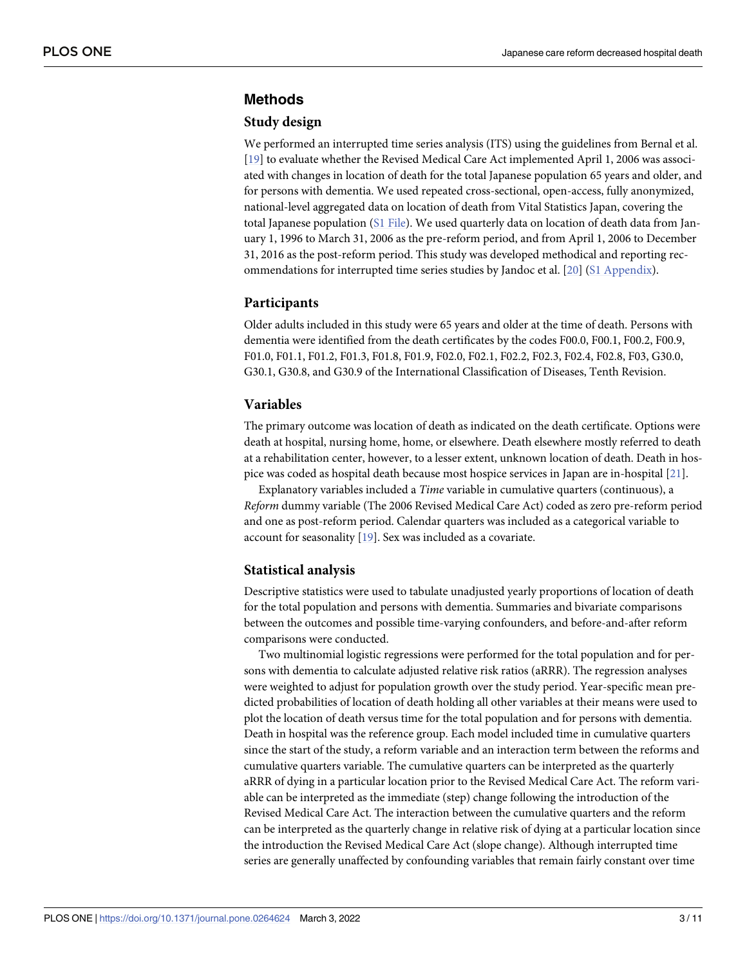## <span id="page-2-0"></span>**Methods**

#### **Study design**

We performed an interrupted time series analysis (ITS) using the guidelines from Bernal et al. [\[19\]](#page-9-0) to evaluate whether the Revised Medical Care Act implemented April 1, 2006 was associated with changes in location of death for the total Japanese population 65 years and older, and for persons with dementia. We used repeated cross-sectional, open-access, fully anonymized, national-level aggregated data on location of death from Vital Statistics Japan, covering the total Japanese population (S1 [File\)](#page-8-0). We used quarterly data on location of death data from January 1, 1996 to March 31, 2006 as the pre-reform period, and from April 1, 2006 to December 31, 2016 as the post-reform period. This study was developed methodical and reporting recommendations for interrupted time series studies by Jandoc et al. [[20](#page-9-0)] (S1 [Appendix\)](#page-8-0).

#### **Participants**

Older adults included in this study were 65 years and older at the time of death. Persons with dementia were identified from the death certificates by the codes F00.0, F00.1, F00.2, F00.9, F01.0, F01.1, F01.2, F01.3, F01.8, F01.9, F02.0, F02.1, F02.2, F02.3, F02.4, F02.8, F03, G30.0, G30.1, G30.8, and G30.9 of the International Classification of Diseases, Tenth Revision.

## **Variables**

The primary outcome was location of death as indicated on the death certificate. Options were death at hospital, nursing home, home, or elsewhere. Death elsewhere mostly referred to death at a rehabilitation center, however, to a lesser extent, unknown location of death. Death in hospice was coded as hospital death because most hospice services in Japan are in-hospital [\[21\]](#page-9-0).

Explanatory variables included a *Time* variable in cumulative quarters (continuous), a *Reform* dummy variable (The 2006 Revised Medical Care Act) coded as zero pre-reform period and one as post-reform period. Calendar quarters was included as a categorical variable to account for seasonality [[19](#page-9-0)]. Sex was included as a covariate.

## **Statistical analysis**

Descriptive statistics were used to tabulate unadjusted yearly proportions of location of death for the total population and persons with dementia. Summaries and bivariate comparisons between the outcomes and possible time-varying confounders, and before-and-after reform comparisons were conducted.

Two multinomial logistic regressions were performed for the total population and for persons with dementia to calculate adjusted relative risk ratios (aRRR). The regression analyses were weighted to adjust for population growth over the study period. Year-specific mean predicted probabilities of location of death holding all other variables at their means were used to plot the location of death versus time for the total population and for persons with dementia. Death in hospital was the reference group. Each model included time in cumulative quarters since the start of the study, a reform variable and an interaction term between the reforms and cumulative quarters variable. The cumulative quarters can be interpreted as the quarterly aRRR of dying in a particular location prior to the Revised Medical Care Act. The reform variable can be interpreted as the immediate (step) change following the introduction of the Revised Medical Care Act. The interaction between the cumulative quarters and the reform can be interpreted as the quarterly change in relative risk of dying at a particular location since the introduction the Revised Medical Care Act (slope change). Although interrupted time series are generally unaffected by confounding variables that remain fairly constant over time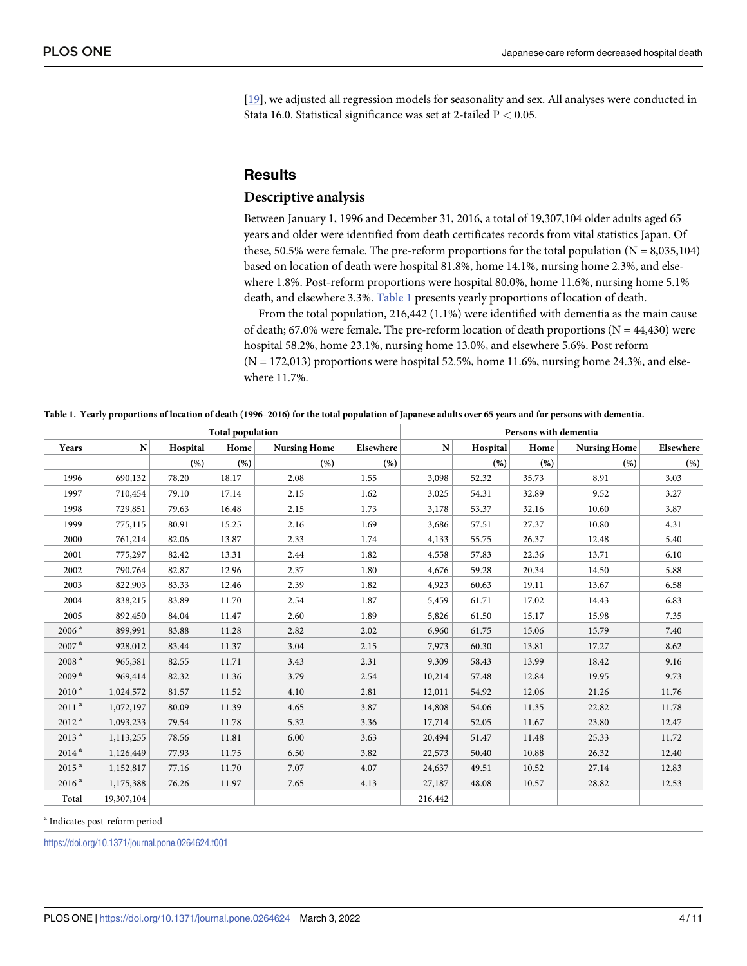[\[19\]](#page-9-0), we adjusted all regression models for seasonality and sex. All analyses were conducted in Stata 16.0. Statistical significance was set at 2-tailed P *<* 0.05.

## **Results**

#### **Descriptive analysis**

Between January 1, 1996 and December 31, 2016, a total of 19,307,104 older adults aged 65 years and older were identified from death certificates records from vital statistics Japan. Of these, 50.5% were female. The pre-reform proportions for the total population  $(N = 8,035,104)$ based on location of death were hospital 81.8%, home 14.1%, nursing home 2.3%, and elsewhere 1.8%. Post-reform proportions were hospital 80.0%, home 11.6%, nursing home 5.1% death, and elsewhere 3.3%. Table 1 presents yearly proportions of location of death.

From the total population, 216,442 (1.1%) were identified with dementia as the main cause of death; 67.0% were female. The pre-reform location of death proportions  $(N = 44,430)$  were hospital 58.2%, home 23.1%, nursing home 13.0%, and elsewhere 5.6%. Post reform  $(N = 172,013)$  proportions were hospital 52.5%, home 11.6%, nursing home 24.3%, and elsewhere 11.7%.

Table 1. Yearly proportions of location of death (1996-2016) for the total population of Japanese adults over 65 years and for persons with dementia.

|                     | <b>Total population</b> |          |       |                     |           | Persons with dementia |          |       |                     |           |
|---------------------|-------------------------|----------|-------|---------------------|-----------|-----------------------|----------|-------|---------------------|-----------|
| Years               | ${\bf N}$               | Hospital | Home  | <b>Nursing Home</b> | Elsewhere | ${\bf N}$             | Hospital | Home  | <b>Nursing Home</b> | Elsewhere |
|                     |                         | (% )     | (% )  | (% )                | (% )      |                       | (% )     | (% )  | (% )                | (% )      |
| 1996                | 690,132                 | 78.20    | 18.17 | 2.08                | 1.55      | 3,098                 | 52.32    | 35.73 | 8.91                | 3.03      |
| 1997                | 710,454                 | 79.10    | 17.14 | 2.15                | 1.62      | 3,025                 | 54.31    | 32.89 | 9.52                | 3.27      |
| 1998                | 729,851                 | 79.63    | 16.48 | 2.15                | 1.73      | 3,178                 | 53.37    | 32.16 | 10.60               | 3.87      |
| 1999                | 775,115                 | 80.91    | 15.25 | 2.16                | 1.69      | 3,686                 | 57.51    | 27.37 | 10.80               | 4.31      |
| 2000                | 761,214                 | 82.06    | 13.87 | 2.33                | 1.74      | 4,133                 | 55.75    | 26.37 | 12.48               | 5.40      |
| 2001                | 775,297                 | 82.42    | 13.31 | 2.44                | 1.82      | 4,558                 | 57.83    | 22.36 | 13.71               | 6.10      |
| 2002                | 790,764                 | 82.87    | 12.96 | 2.37                | 1.80      | 4,676                 | 59.28    | 20.34 | 14.50               | 5.88      |
| 2003                | 822,903                 | 83.33    | 12.46 | 2.39                | 1.82      | 4,923                 | 60.63    | 19.11 | 13.67               | 6.58      |
| 2004                | 838,215                 | 83.89    | 11.70 | 2.54                | 1.87      | 5,459                 | 61.71    | 17.02 | 14.43               | 6.83      |
| 2005                | 892,450                 | 84.04    | 11.47 | 2.60                | 1.89      | 5,826                 | 61.50    | 15.17 | 15.98               | 7.35      |
| 2006 <sup>a</sup>   | 899,991                 | 83.88    | 11.28 | 2.82                | 2.02      | 6,960                 | 61.75    | 15.06 | 15.79               | 7.40      |
| 2007 <sup>a</sup>   | 928,012                 | 83.44    | 11.37 | 3.04                | 2.15      | 7,973                 | 60.30    | 13.81 | 17.27               | 8.62      |
| 2008 <sup>a</sup>   | 965,381                 | 82.55    | 11.71 | 3.43                | 2.31      | 9,309                 | 58.43    | 13.99 | 18.42               | 9.16      |
| 2009 <sup>a</sup>   | 969,414                 | 82.32    | 11.36 | 3.79                | 2.54      | 10,214                | 57.48    | 12.84 | 19.95               | 9.73      |
| $2010$ $^{\rm a}$   | 1,024,572               | 81.57    | 11.52 | 4.10                | 2.81      | 12,011                | 54.92    | 12.06 | 21.26               | 11.76     |
| $2011$ $^{\rm a}$   | 1,072,197               | 80.09    | 11.39 | 4.65                | 3.87      | 14,808                | 54.06    | 11.35 | 22.82               | 11.78     |
| 2012 <sup>a</sup>   | 1,093,233               | 79.54    | 11.78 | 5.32                | 3.36      | 17,714                | 52.05    | 11.67 | 23.80               | 12.47     |
| $2013$ <sup>a</sup> | 1,113,255               | 78.56    | 11.81 | 6.00                | 3.63      | 20,494                | 51.47    | 11.48 | 25.33               | 11.72     |
| 2014 <sup>a</sup>   | 1,126,449               | 77.93    | 11.75 | 6.50                | 3.82      | 22,573                | 50.40    | 10.88 | 26.32               | 12.40     |
| 2015 <sup>a</sup>   | 1,152,817               | 77.16    | 11.70 | 7.07                | 4.07      | 24,637                | 49.51    | 10.52 | 27.14               | 12.83     |
| 2016 <sup>a</sup>   | 1,175,388               | 76.26    | 11.97 | 7.65                | 4.13      | 27,187                | 48.08    | 10.57 | 28.82               | 12.53     |
| Total               | 19,307,104              |          |       |                     |           | 216,442               |          |       |                     |           |

<sup>a</sup> Indicates post-reform period

<https://doi.org/10.1371/journal.pone.0264624.t001>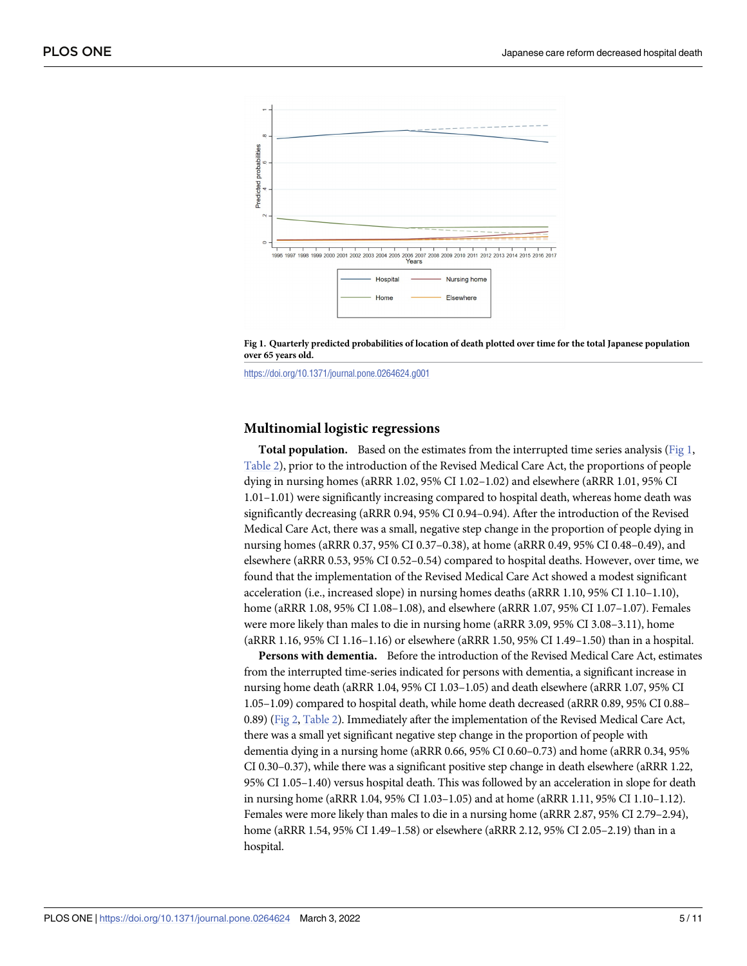<span id="page-4-0"></span>

Fig 1. Quarterly predicted probabilities of location of death plotted over time for the total Japanese population **over 65 years old.**

<https://doi.org/10.1371/journal.pone.0264624.g001>

## **Multinomial logistic regressions**

**Total population.** Based on the estimates from the interrupted time series analysis (Fig 1, [Table](#page-5-0) 2), prior to the introduction of the Revised Medical Care Act, the proportions of people dying in nursing homes (aRRR 1.02, 95% CI 1.02–1.02) and elsewhere (aRRR 1.01, 95% CI 1.01–1.01) were significantly increasing compared to hospital death, whereas home death was significantly decreasing (aRRR 0.94, 95% CI 0.94–0.94). After the introduction of the Revised Medical Care Act, there was a small, negative step change in the proportion of people dying in nursing homes (aRRR 0.37, 95% CI 0.37–0.38), at home (aRRR 0.49, 95% CI 0.48–0.49), and elsewhere (aRRR 0.53, 95% CI 0.52–0.54) compared to hospital deaths. However, over time, we found that the implementation of the Revised Medical Care Act showed a modest significant acceleration (i.e., increased slope) in nursing homes deaths (aRRR 1.10, 95% CI 1.10–1.10), home (aRRR 1.08, 95% CI 1.08–1.08), and elsewhere (aRRR 1.07, 95% CI 1.07–1.07). Females were more likely than males to die in nursing home (aRRR 3.09, 95% CI 3.08–3.11), home (aRRR 1.16, 95% CI 1.16–1.16) or elsewhere (aRRR 1.50, 95% CI 1.49–1.50) than in a hospital.

**Persons with dementia.** Before the introduction of the Revised Medical Care Act, estimates from the interrupted time-series indicated for persons with dementia, a significant increase in nursing home death (aRRR 1.04, 95% CI 1.03–1.05) and death elsewhere (aRRR 1.07, 95% CI 1.05–1.09) compared to hospital death, while home death decreased (aRRR 0.89, 95% CI 0.88– 0.89) ([Fig](#page-5-0) 2, [Table](#page-5-0) 2). Immediately after the implementation of the Revised Medical Care Act, there was a small yet significant negative step change in the proportion of people with dementia dying in a nursing home (aRRR 0.66, 95% CI 0.60–0.73) and home (aRRR 0.34, 95% CI 0.30–0.37), while there was a significant positive step change in death elsewhere (aRRR 1.22, 95% CI 1.05–1.40) versus hospital death. This was followed by an acceleration in slope for death in nursing home (aRRR 1.04, 95% CI 1.03–1.05) and at home (aRRR 1.11, 95% CI 1.10–1.12). Females were more likely than males to die in a nursing home (aRRR 2.87, 95% CI 2.79–2.94), home (aRRR 1.54, 95% CI 1.49–1.58) or elsewhere (aRRR 2.12, 95% CI 2.05–2.19) than in a hospital.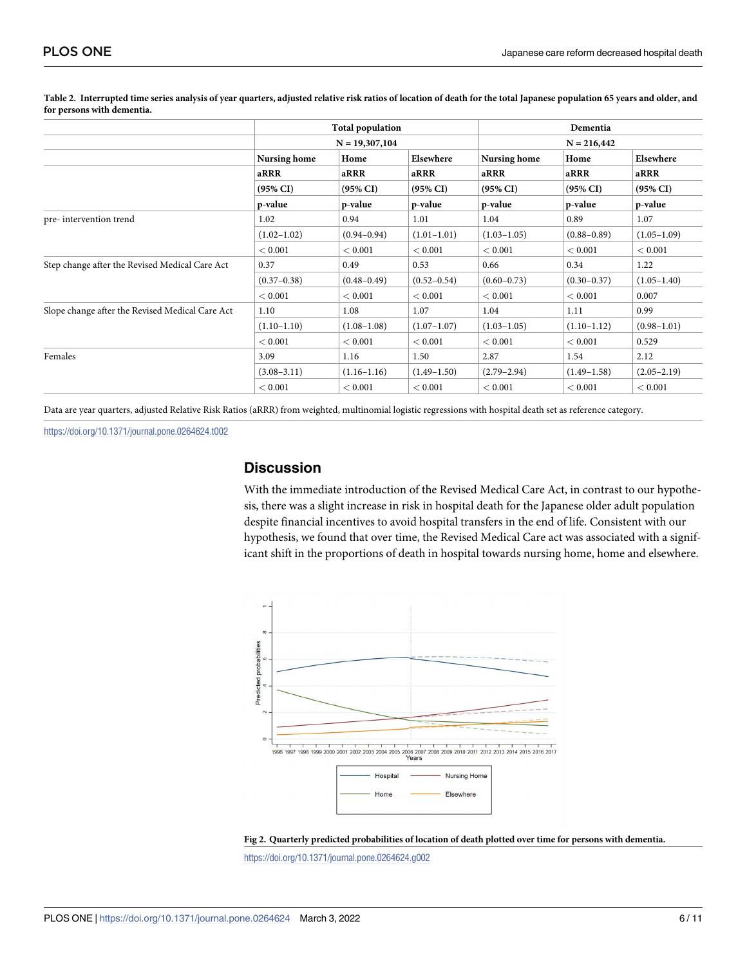|                                                 |                 | <b>Total population</b> |                 | Dementia            |                     |                     |  |  |
|-------------------------------------------------|-----------------|-------------------------|-----------------|---------------------|---------------------|---------------------|--|--|
|                                                 |                 | $N = 19,307,104$        |                 |                     | $N = 216,442$       |                     |  |  |
|                                                 | Nursing home    | Home                    | Elsewhere       | <b>Nursing home</b> | Home                | Elsewhere           |  |  |
|                                                 | aRRR            | aRRR                    | aRRR            | aRRR                | aRRR                | aRRR                |  |  |
|                                                 | (95% CI)        | $(95\% \text{ CI})$     | (95% CI)        | $(95\% \text{ CI})$ | $(95\% \text{ CI})$ | $(95\% \text{ CI})$ |  |  |
|                                                 | p-value         | p-value                 | p-value         | p-value             | p-value             | p-value             |  |  |
| pre-intervention trend                          | 1.02            | 0.94                    | 1.01            | 1.04                | 0.89                | 1.07                |  |  |
|                                                 | $(1.02 - 1.02)$ | $(0.94 - 0.94)$         | $(1.01 - 1.01)$ | $(1.03 - 1.05)$     | $(0.88 - 0.89)$     | $(1.05 - 1.09)$     |  |  |
|                                                 | < 0.001         | < 0.001                 | < 0.001         | < 0.001             | < 0.001             | < 0.001             |  |  |
| Step change after the Revised Medical Care Act  | 0.37            | 0.49                    | 0.53            | 0.66                | 0.34                | 1.22                |  |  |
|                                                 | $(0.37 - 0.38)$ | $(0.48 - 0.49)$         | $(0.52 - 0.54)$ | $(0.60 - 0.73)$     | $(0.30 - 0.37)$     | $(1.05 - 1.40)$     |  |  |
|                                                 | < 0.001         | < 0.001                 | < 0.001         | < 0.001             | < 0.001             | 0.007               |  |  |
| Slope change after the Revised Medical Care Act | 1.10            | 1.08                    | 1.07            | 1.04                | 1.11                | 0.99                |  |  |
|                                                 | $(1.10-1.10)$   | $(1.08 - 1.08)$         | $(1.07 - 1.07)$ | $(1.03 - 1.05)$     | $(1.10-1.12)$       | $(0.98 - 1.01)$     |  |  |
|                                                 | < 0.001         | < 0.001                 | < 0.001         | < 0.001             | < 0.001             | 0.529               |  |  |
| Females                                         | 3.09            | 1.16                    | 1.50            | 2.87                | 1.54                | 2.12                |  |  |
|                                                 | $(3.08 - 3.11)$ | $(1.16-1.16)$           | $(1.49 - 1.50)$ | $(2.79 - 2.94)$     | $(1.49 - 1.58)$     | $(2.05 - 2.19)$     |  |  |
|                                                 | < 0.001         | < 0.001                 | < 0.001         | < 0.001             | < 0.001             | < 0.001             |  |  |
|                                                 |                 |                         |                 |                     |                     |                     |  |  |

<span id="page-5-0"></span>[Table](#page-4-0) 2. Interrupted time series analysis of year quarters, adjusted relative risk ratios of location of death for the total Japanese population 65 years and older, and **for persons with dementia.**

Data are year quarters, adjusted Relative Risk Ratios (aRRR) from weighted, multinomial logistic regressions with hospital death set as reference category.

<https://doi.org/10.1371/journal.pone.0264624.t002>

## **Discussion**

With the immediate introduction of the Revised Medical Care Act, in contrast to our hypothesis, there was a slight increase in risk in hospital death for the Japanese older adult population despite financial incentives to avoid hospital transfers in the end of life. Consistent with our hypothesis, we found that over time, the Revised Medical Care act was associated with a significant shift in the proportions of death in hospital towards nursing home, home and elsewhere.





<https://doi.org/10.1371/journal.pone.0264624.g002>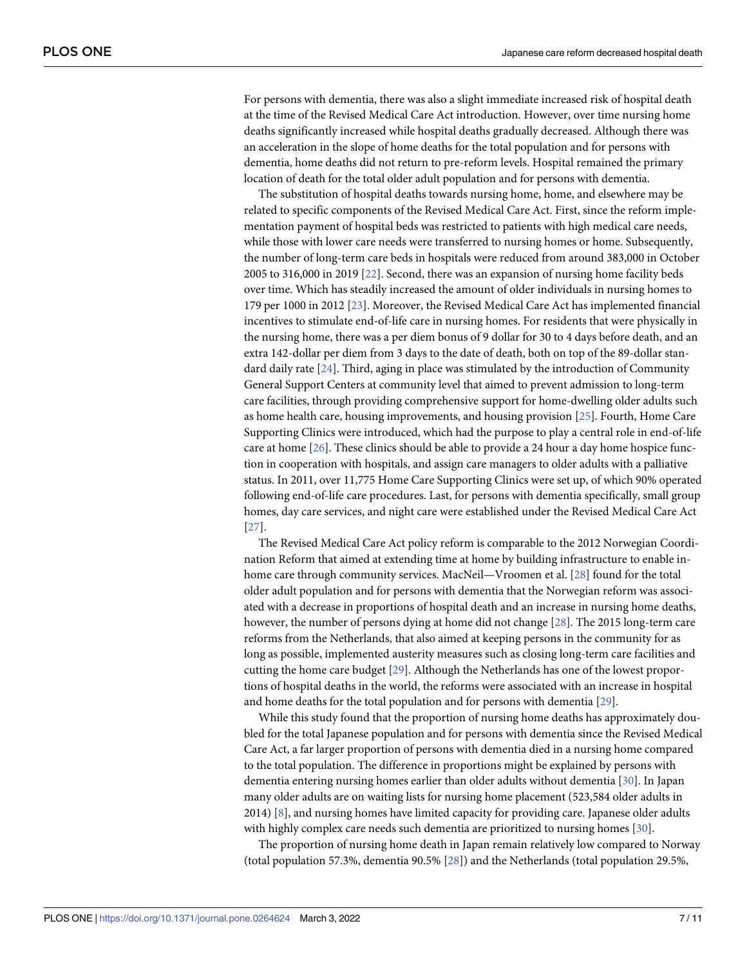<span id="page-6-0"></span>For persons with dementia, there was also a slight immediate increased risk of hospital death at the time of the Revised Medical Care Act introduction. However, over time nursing home deaths significantly increased while hospital deaths gradually decreased. Although there was an acceleration in the slope of home deaths for the total population and for persons with dementia, home deaths did not return to pre-reform levels. Hospital remained the primary location of death for the total older adult population and for persons with dementia.

The substitution of hospital deaths towards nursing home, home, and elsewhere may be related to specific components of the Revised Medical Care Act. First, since the reform implementation payment of hospital beds was restricted to patients with high medical care needs, while those with lower care needs were transferred to nursing homes or home. Subsequently, the number of long-term care beds in hospitals were reduced from around 383,000 in October 2005 to 316,000 in 2019 [\[22\]](#page-9-0). Second, there was an expansion of nursing home facility beds over time. Which has steadily increased the amount of older individuals in nursing homes to 179 per 1000 in 2012 [\[23\]](#page-10-0). Moreover, the Revised Medical Care Act has implemented financial incentives to stimulate end-of-life care in nursing homes. For residents that were physically in the nursing home, there was a per diem bonus of 9 dollar for 30 to 4 days before death, and an extra 142-dollar per diem from 3 days to the date of death, both on top of the 89-dollar standard daily rate [\[24\]](#page-10-0). Third, aging in place was stimulated by the introduction of Community General Support Centers at community level that aimed to prevent admission to long-term care facilities, through providing comprehensive support for home-dwelling older adults such as home health care, housing improvements, and housing provision [[25](#page-10-0)]. Fourth, Home Care Supporting Clinics were introduced, which had the purpose to play a central role in end-of-life care at home [[26](#page-10-0)]. These clinics should be able to provide a 24 hour a day home hospice function in cooperation with hospitals, and assign care managers to older adults with a palliative status. In 2011, over 11,775 Home Care Supporting Clinics were set up, of which 90% operated following end-of-life care procedures. Last, for persons with dementia specifically, small group homes, day care services, and night care were established under the Revised Medical Care Act [\[27\]](#page-10-0).

The Revised Medical Care Act policy reform is comparable to the 2012 Norwegian Coordination Reform that aimed at extending time at home by building infrastructure to enable inhome care through community services. MacNeil—Vroomen et al. [[28](#page-10-0)] found for the total older adult population and for persons with dementia that the Norwegian reform was associated with a decrease in proportions of hospital death and an increase in nursing home deaths, however, the number of persons dying at home did not change [[28](#page-10-0)]. The 2015 long-term care reforms from the Netherlands, that also aimed at keeping persons in the community for as long as possible, implemented austerity measures such as closing long-term care facilities and cutting the home care budget [[29](#page-10-0)]. Although the Netherlands has one of the lowest proportions of hospital deaths in the world, the reforms were associated with an increase in hospital and home deaths for the total population and for persons with dementia [\[29](#page-10-0)].

While this study found that the proportion of nursing home deaths has approximately doubled for the total Japanese population and for persons with dementia since the Revised Medical Care Act, a far larger proportion of persons with dementia died in a nursing home compared to the total population. The difference in proportions might be explained by persons with dementia entering nursing homes earlier than older adults without dementia [\[30\]](#page-10-0). In Japan many older adults are on waiting lists for nursing home placement (523,584 older adults in 2014) [\[8\]](#page-9-0), and nursing homes have limited capacity for providing care. Japanese older adults with highly complex care needs such dementia are prioritized to nursing homes [[30](#page-10-0)].

The proportion of nursing home death in Japan remain relatively low compared to Norway (total population 57.3%, dementia 90.5% [\[28\]](#page-10-0)) and the Netherlands (total population 29.5%,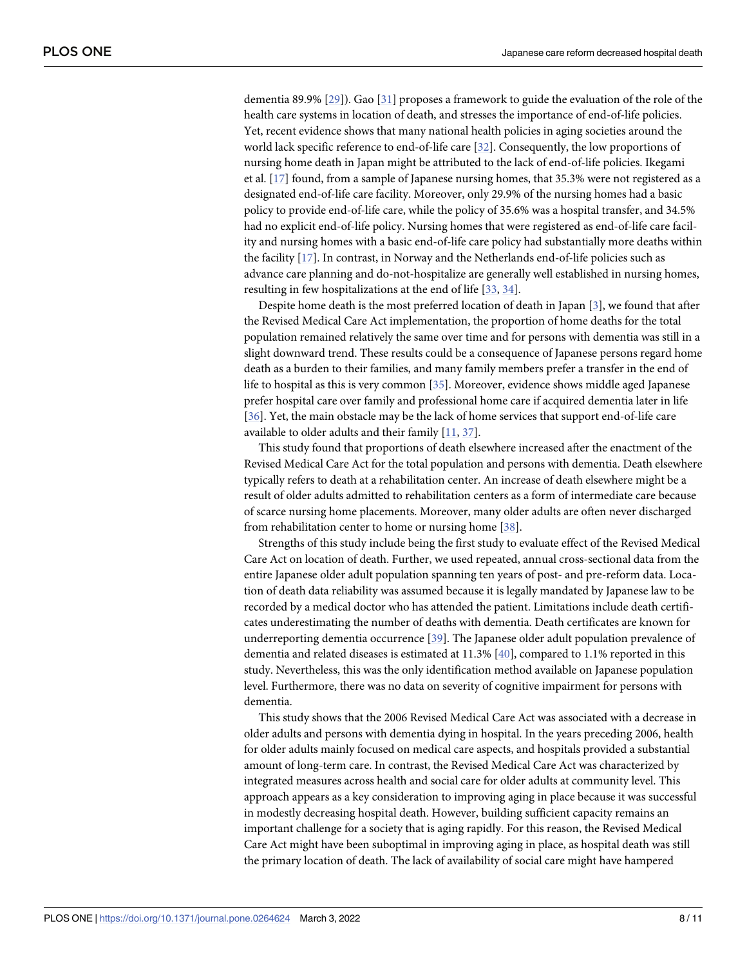<span id="page-7-0"></span>dementia 89.9% [\[29\]](#page-10-0)). Gao [\[31\]](#page-10-0) proposes a framework to guide the evaluation of the role of the health care systems in location of death, and stresses the importance of end-of-life policies. Yet, recent evidence shows that many national health policies in aging societies around the world lack specific reference to end-of-life care [[32](#page-10-0)]. Consequently, the low proportions of nursing home death in Japan might be attributed to the lack of end-of-life policies. Ikegami et al. [\[17\]](#page-9-0) found, from a sample of Japanese nursing homes, that 35.3% were not registered as a designated end-of-life care facility. Moreover, only 29.9% of the nursing homes had a basic policy to provide end-of-life care, while the policy of 35.6% was a hospital transfer, and 34.5% had no explicit end-of-life policy. Nursing homes that were registered as end-of-life care facility and nursing homes with a basic end-of-life care policy had substantially more deaths within the facility [\[17\]](#page-9-0). In contrast, in Norway and the Netherlands end-of-life policies such as advance care planning and do-not-hospitalize are generally well established in nursing homes, resulting in few hospitalizations at the end of life [\[33](#page-10-0), [34](#page-10-0)].

Despite home death is the most preferred location of death in Japan [[3\]](#page-9-0), we found that after the Revised Medical Care Act implementation, the proportion of home deaths for the total population remained relatively the same over time and for persons with dementia was still in a slight downward trend. These results could be a consequence of Japanese persons regard home death as a burden to their families, and many family members prefer a transfer in the end of life to hospital as this is very common [[35](#page-10-0)]. Moreover, evidence shows middle aged Japanese prefer hospital care over family and professional home care if acquired dementia later in life [\[36\]](#page-10-0). Yet, the main obstacle may be the lack of home services that support end-of-life care available to older adults and their family [\[11,](#page-9-0) [37\]](#page-10-0).

This study found that proportions of death elsewhere increased after the enactment of the Revised Medical Care Act for the total population and persons with dementia. Death elsewhere typically refers to death at a rehabilitation center. An increase of death elsewhere might be a result of older adults admitted to rehabilitation centers as a form of intermediate care because of scarce nursing home placements. Moreover, many older adults are often never discharged from rehabilitation center to home or nursing home [\[38\]](#page-10-0).

Strengths of this study include being the first study to evaluate effect of the Revised Medical Care Act on location of death. Further, we used repeated, annual cross-sectional data from the entire Japanese older adult population spanning ten years of post- and pre-reform data. Location of death data reliability was assumed because it is legally mandated by Japanese law to be recorded by a medical doctor who has attended the patient. Limitations include death certificates underestimating the number of deaths with dementia. Death certificates are known for underreporting dementia occurrence [[39](#page-10-0)]. The Japanese older adult population prevalence of dementia and related diseases is estimated at 11.3% [[40](#page-10-0)], compared to 1.1% reported in this study. Nevertheless, this was the only identification method available on Japanese population level. Furthermore, there was no data on severity of cognitive impairment for persons with dementia.

This study shows that the 2006 Revised Medical Care Act was associated with a decrease in older adults and persons with dementia dying in hospital. In the years preceding 2006, health for older adults mainly focused on medical care aspects, and hospitals provided a substantial amount of long-term care. In contrast, the Revised Medical Care Act was characterized by integrated measures across health and social care for older adults at community level. This approach appears as a key consideration to improving aging in place because it was successful in modestly decreasing hospital death. However, building sufficient capacity remains an important challenge for a society that is aging rapidly. For this reason, the Revised Medical Care Act might have been suboptimal in improving aging in place, as hospital death was still the primary location of death. The lack of availability of social care might have hampered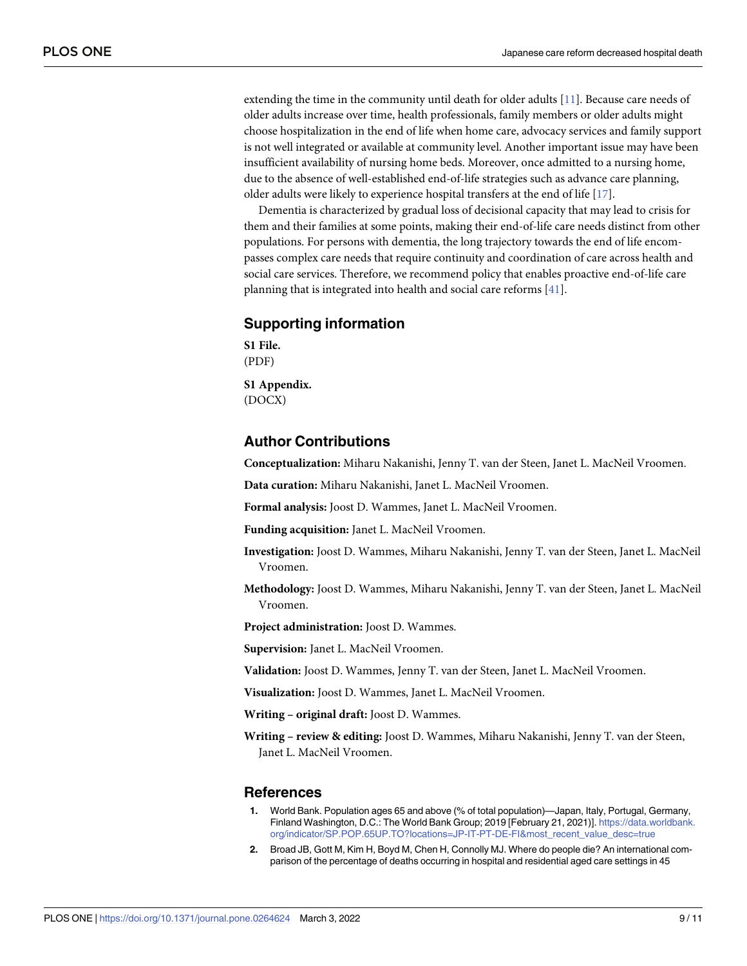<span id="page-8-0"></span>extending the time in the community until death for older adults [[11](#page-9-0)]. Because care needs of older adults increase over time, health professionals, family members or older adults might choose hospitalization in the end of life when home care, advocacy services and family support is not well integrated or available at community level. Another important issue may have been insufficient availability of nursing home beds. Moreover, once admitted to a nursing home, due to the absence of well-established end-of-life strategies such as advance care planning, older adults were likely to experience hospital transfers at the end of life [\[17\]](#page-9-0).

Dementia is characterized by gradual loss of decisional capacity that may lead to crisis for them and their families at some points, making their end-of-life care needs distinct from other populations. For persons with dementia, the long trajectory towards the end of life encompasses complex care needs that require continuity and coordination of care across health and social care services. Therefore, we recommend policy that enables proactive end-of-life care planning that is integrated into health and social care reforms [[41](#page-10-0)].

## **Supporting information**

**S1 [File.](http://www.plosone.org/article/fetchSingleRepresentation.action?uri=info:doi/10.1371/journal.pone.0264624.s001)** (PDF)

**S1 [Appendix](http://www.plosone.org/article/fetchSingleRepresentation.action?uri=info:doi/10.1371/journal.pone.0264624.s002).** (DOCX)

## **Author Contributions**

**Conceptualization:** Miharu Nakanishi, Jenny T. van der Steen, Janet L. MacNeil Vroomen.

**Data curation:** Miharu Nakanishi, Janet L. MacNeil Vroomen.

**Formal analysis:** Joost D. Wammes, Janet L. MacNeil Vroomen.

**Funding acquisition:** Janet L. MacNeil Vroomen.

- **Investigation:** Joost D. Wammes, Miharu Nakanishi, Jenny T. van der Steen, Janet L. MacNeil Vroomen.
- **Methodology:** Joost D. Wammes, Miharu Nakanishi, Jenny T. van der Steen, Janet L. MacNeil Vroomen.

**Project administration:** Joost D. Wammes.

**Supervision:** Janet L. MacNeil Vroomen.

**Validation:** Joost D. Wammes, Jenny T. van der Steen, Janet L. MacNeil Vroomen.

**Visualization:** Joost D. Wammes, Janet L. MacNeil Vroomen.

**Writing – original draft:** Joost D. Wammes.

**Writing – review & editing:** Joost D. Wammes, Miharu Nakanishi, Jenny T. van der Steen, Janet L. MacNeil Vroomen.

#### **References**

- **[1](#page-1-0).** World Bank. Population ages 65 and above (% of total population)—Japan, Italy, Portugal, Germany, Finland Washington, D.C.: The World Bank Group; 2019 [February 21, 2021)]. [https://data.worldbank.](https://data.worldbank.org/indicator/SP.POP.65UP.TO?locations=JP-IT-PT-DE-FI&most_recent_value_desc=true) [org/indicator/SP.POP.65UP.TO?locations=JP-IT-PT-DE-FI&most\\_recent\\_value\\_desc=true](https://data.worldbank.org/indicator/SP.POP.65UP.TO?locations=JP-IT-PT-DE-FI&most_recent_value_desc=true)
- **[2](#page-1-0).** Broad JB, Gott M, Kim H, Boyd M, Chen H, Connolly MJ. Where do people die? An international comparison of the percentage of deaths occurring in hospital and residential aged care settings in 45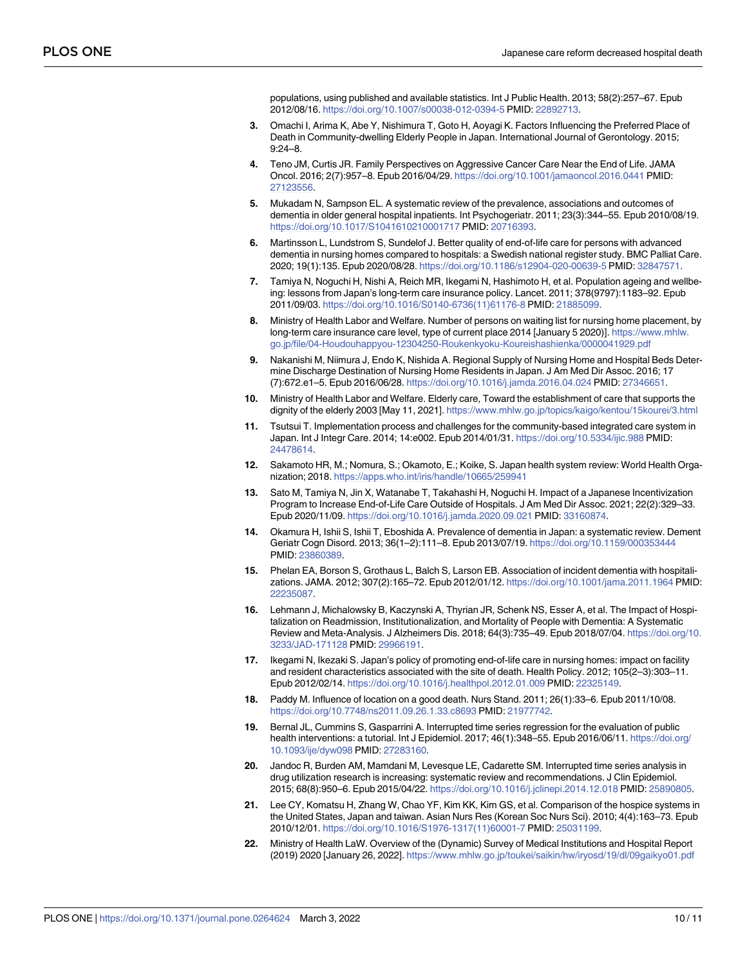populations, using published and available statistics. Int J Public Health. 2013; 58(2):257–67. Epub 2012/08/16. <https://doi.org/10.1007/s00038-012-0394-5> PMID: [22892713](http://www.ncbi.nlm.nih.gov/pubmed/22892713).

- <span id="page-9-0"></span>**[3](#page-7-0).** Omachi I, Arima K, Abe Y, Nishimura T, Goto H, Aoyagi K. Factors Influencing the Preferred Place of Death in Community-dwelling Elderly People in Japan. International Journal of Gerontology. 2015; 9:24–8.
- **[4](#page-1-0).** Teno JM, Curtis JR. Family Perspectives on Aggressive Cancer Care Near the End of Life. JAMA Oncol. 2016; 2(7):957–8. Epub 2016/04/29. <https://doi.org/10.1001/jamaoncol.2016.0441> PMID: [27123556](http://www.ncbi.nlm.nih.gov/pubmed/27123556).
- **[5](#page-1-0).** Mukadam N, Sampson EL. A systematic review of the prevalence, associations and outcomes of dementia in older general hospital inpatients. Int Psychogeriatr. 2011; 23(3):344–55. Epub 2010/08/19. <https://doi.org/10.1017/S1041610210001717> PMID: [20716393](http://www.ncbi.nlm.nih.gov/pubmed/20716393).
- **[6](#page-1-0).** Martinsson L, Lundstrom S, Sundelof J. Better quality of end-of-life care for persons with advanced dementia in nursing homes compared to hospitals: a Swedish national register study. BMC Palliat Care. 2020; 19(1):135. Epub 2020/08/28. <https://doi.org/10.1186/s12904-020-00639-5> PMID: [32847571.](http://www.ncbi.nlm.nih.gov/pubmed/32847571)
- **[7](#page-1-0).** Tamiya N, Noguchi H, Nishi A, Reich MR, Ikegami N, Hashimoto H, et al. Population ageing and wellbeing: lessons from Japan's long-term care insurance policy. Lancet. 2011; 378(9797):1183–92. Epub 2011/09/03. [https://doi.org/10.1016/S0140-6736\(11\)61176-8](https://doi.org/10.1016/S0140-6736%2811%2961176-8) PMID: [21885099](http://www.ncbi.nlm.nih.gov/pubmed/21885099).
- **[8](#page-1-0).** Ministry of Health Labor and Welfare. Number of persons on waiting list for nursing home placement, by long-term care insurance care level, type of current place 2014 [January 5 2020)]. [https://www.mhlw.](https://www.mhlw.go.jp/file/04-Houdouhappyou-12304250-Roukenkyoku-Koureishashienka/0000041929.pdf) [go.jp/file/04-Houdouhappyou-12304250-Roukenkyoku-Koureishashienka/0000041929.pdf](https://www.mhlw.go.jp/file/04-Houdouhappyou-12304250-Roukenkyoku-Koureishashienka/0000041929.pdf)
- **[9](#page-1-0).** Nakanishi M, Niimura J, Endo K, Nishida A. Regional Supply of Nursing Home and Hospital Beds Determine Discharge Destination of Nursing Home Residents in Japan. J Am Med Dir Assoc. 2016; 17 (7):672.e1–5. Epub 2016/06/28. <https://doi.org/10.1016/j.jamda.2016.04.024> PMID: [27346651](http://www.ncbi.nlm.nih.gov/pubmed/27346651).
- **[10](#page-1-0).** Ministry of Health Labor and Welfare. Elderly care, Toward the establishment of care that supports the dignity of the elderly 2003 [May 11, 2021]. <https://www.mhlw.go.jp/topics/kaigo/kentou/15kourei/3.html>
- **[11](#page-8-0).** Tsutsui T. Implementation process and challenges for the community-based integrated care system in Japan. Int J Integr Care. 2014; 14:e002. Epub 2014/01/31. <https://doi.org/10.5334/ijic.988> PMID: [24478614](http://www.ncbi.nlm.nih.gov/pubmed/24478614).
- **[12](#page-1-0).** Sakamoto HR, M.; Nomura, S.; Okamoto, E.; Koike, S. Japan health system review: World Health Organization; 2018. <https://apps.who.int/iris/handle/10665/259941>
- **[13](#page-1-0).** Sato M, Tamiya N, Jin X, Watanabe T, Takahashi H, Noguchi H. Impact of a Japanese Incentivization Program to Increase End-of-Life Care Outside of Hospitals. J Am Med Dir Assoc. 2021; 22(2):329–33. Epub 2020/11/09. <https://doi.org/10.1016/j.jamda.2020.09.021> PMID: [33160874.](http://www.ncbi.nlm.nih.gov/pubmed/33160874)
- **[14](#page-1-0).** Okamura H, Ishii S, Ishii T, Eboshida A. Prevalence of dementia in Japan: a systematic review. Dement Geriatr Cogn Disord. 2013; 36(1–2):111–8. Epub 2013/07/19. <https://doi.org/10.1159/000353444> PMID: [23860389](http://www.ncbi.nlm.nih.gov/pubmed/23860389).
- **[15](#page-1-0).** Phelan EA, Borson S, Grothaus L, Balch S, Larson EB. Association of incident dementia with hospitalizations. JAMA. 2012; 307(2):165–72. Epub 2012/01/12. <https://doi.org/10.1001/jama.2011.1964> PMID: [22235087](http://www.ncbi.nlm.nih.gov/pubmed/22235087).
- **[16](#page-1-0).** Lehmann J, Michalowsky B, Kaczynski A, Thyrian JR, Schenk NS, Esser A, et al. The Impact of Hospitalization on Readmission, Institutionalization, and Mortality of People with Dementia: A Systematic Review and Meta-Analysis. J Alzheimers Dis. 2018; 64(3):735–49. Epub 2018/07/04. [https://doi.org/10.](https://doi.org/10.3233/JAD-171128) [3233/JAD-171128](https://doi.org/10.3233/JAD-171128) PMID: [29966191](http://www.ncbi.nlm.nih.gov/pubmed/29966191).
- **[17](#page-7-0).** Ikegami N, Ikezaki S. Japan's policy of promoting end-of-life care in nursing homes: impact on facility and resident characteristics associated with the site of death. Health Policy. 2012; 105(2–3):303–11. Epub 2012/02/14. <https://doi.org/10.1016/j.healthpol.2012.01.009> PMID: [22325149](http://www.ncbi.nlm.nih.gov/pubmed/22325149).
- **[18](#page-1-0).** Paddy M. Influence of location on a good death. Nurs Stand. 2011; 26(1):33–6. Epub 2011/10/08. <https://doi.org/10.7748/ns2011.09.26.1.33.c8693> PMID: [21977742](http://www.ncbi.nlm.nih.gov/pubmed/21977742).
- **[19](#page-2-0).** Bernal JL, Cummins S, Gasparrini A. Interrupted time series regression for the evaluation of public health interventions: a tutorial. Int J Epidemiol. 2017; 46(1):348–55. Epub 2016/06/11. [https://doi.org/](https://doi.org/10.1093/ije/dyw098) [10.1093/ije/dyw098](https://doi.org/10.1093/ije/dyw098) PMID: [27283160.](http://www.ncbi.nlm.nih.gov/pubmed/27283160)
- **[20](#page-2-0).** Jandoc R, Burden AM, Mamdani M, Levesque LE, Cadarette SM. Interrupted time series analysis in drug utilization research is increasing: systematic review and recommendations. J Clin Epidemiol. 2015; 68(8):950–6. Epub 2015/04/22. <https://doi.org/10.1016/j.jclinepi.2014.12.018> PMID: [25890805](http://www.ncbi.nlm.nih.gov/pubmed/25890805).
- **[21](#page-2-0).** Lee CY, Komatsu H, Zhang W, Chao YF, Kim KK, Kim GS, et al. Comparison of the hospice systems in the United States, Japan and taiwan. Asian Nurs Res (Korean Soc Nurs Sci). 2010; 4(4):163–73. Epub 2010/12/01. [https://doi.org/10.1016/S1976-1317\(11\)60001-7](https://doi.org/10.1016/S1976-1317%2811%2960001-7) PMID: [25031199](http://www.ncbi.nlm.nih.gov/pubmed/25031199).
- **[22](#page-6-0).** Ministry of Health LaW. Overview of the (Dynamic) Survey of Medical Institutions and Hospital Report (2019) 2020 [January 26, 2022]. <https://www.mhlw.go.jp/toukei/saikin/hw/iryosd/19/dl/09gaikyo01.pdf>